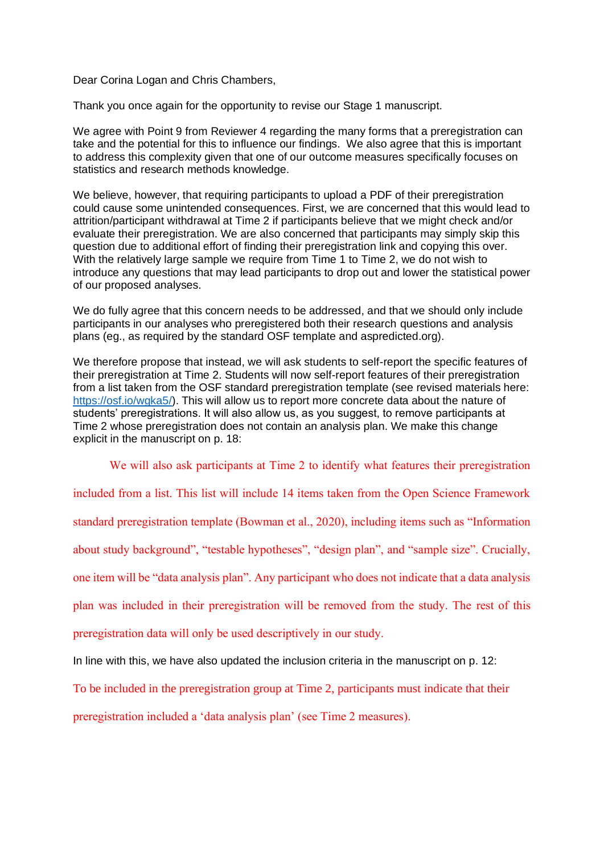Dear Corina Logan and Chris Chambers,

Thank you once again for the opportunity to revise our Stage 1 manuscript.

We agree with Point 9 from Reviewer 4 regarding the many forms that a preregistration can take and the potential for this to influence our findings. We also agree that this is important to address this complexity given that one of our outcome measures specifically focuses on statistics and research methods knowledge.

We believe, however, that requiring participants to upload a PDF of their preregistration could cause some unintended consequences. First, we are concerned that this would lead to attrition/participant withdrawal at Time 2 if participants believe that we might check and/or evaluate their preregistration. We are also concerned that participants may simply skip this question due to additional effort of finding their preregistration link and copying this over. With the relatively large sample we require from Time 1 to Time 2, we do not wish to introduce any questions that may lead participants to drop out and lower the statistical power of our proposed analyses.

We do fully agree that this concern needs to be addressed, and that we should only include participants in our analyses who preregistered both their research questions and analysis plans (eg., as required by the standard OSF template and aspredicted.org).

We therefore propose that instead, we will ask students to self-report the specific features of their preregistration at Time 2. Students will now self-report features of their preregistration from a list taken from the OSF standard preregistration template (see revised materials here: [https://osf.io/wgka5/\)](https://osf.io/wgka5/). This will allow us to report more concrete data about the nature of students' preregistrations. It will also allow us, as you suggest, to remove participants at Time 2 whose preregistration does not contain an analysis plan. We make this change explicit in the manuscript on p. 18:

We will also ask participants at Time 2 to identify what features their preregistration

included from a list. This list will include 14 items taken from the Open Science Framework

standard preregistration template (Bowman et al., 2020), including items such as "Information

about study background", "testable hypotheses", "design plan", and "sample size". Crucially,

one item will be "data analysis plan". Any participant who does not indicate that a data analysis

plan was included in their preregistration will be removed from the study. The rest of this

preregistration data will only be used descriptively in our study.

In line with this, we have also updated the inclusion criteria in the manuscript on p. 12:

To be included in the preregistration group at Time 2, participants must indicate that their

preregistration included a 'data analysis plan' (see Time 2 measures).